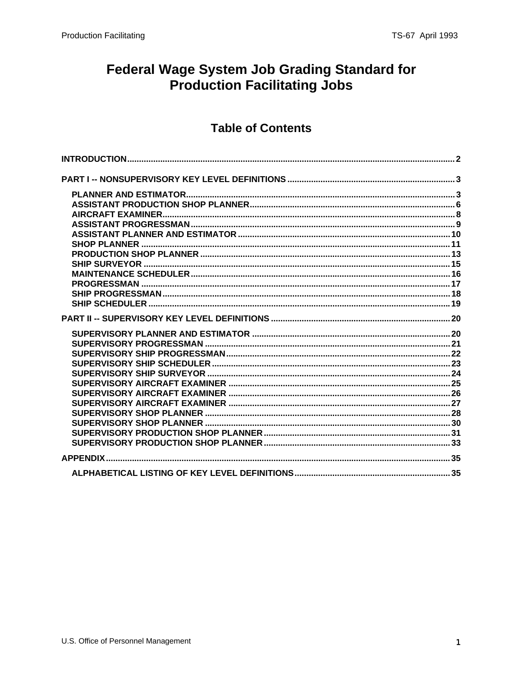## **Federal Wage System Job Grading Standard for Production Facilitating Jobs**

### **Table of Contents**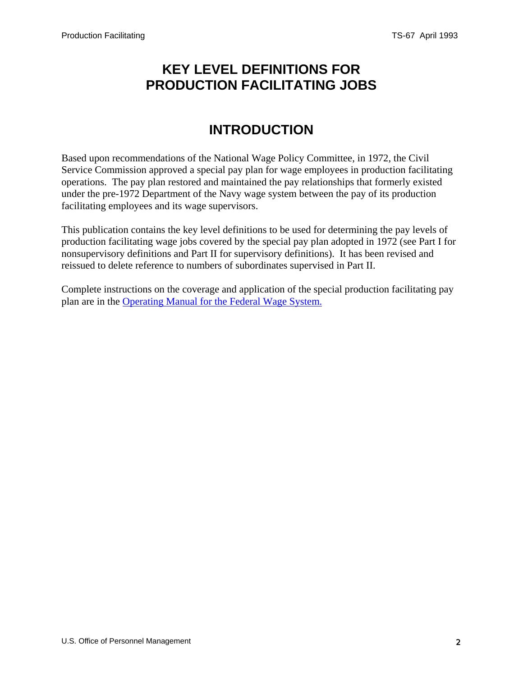### <span id="page-1-0"></span>**KEY LEVEL DEFINITIONS FOR PRODUCTION FACILITATING JOBS**

# **INTRODUCTION**

Based upon recommendations of the National Wage Policy Committee, in 1972, the Civil Service Commission approved a special pay plan for wage employees in production facilitating operations. The pay plan restored and maintained the pay relationships that formerly existed under the pre-1972 Department of the Navy wage system between the pay of its production facilitating employees and its wage supervisors.

This publication contains the key level definitions to be used for determining the pay levels of production facilitating wage jobs covered by the special pay plan adopted in 1972 (see Part I for nonsupervisory definitions and Part II for supervisory definitions). It has been revised and reissued to delete reference to numbers of subordinates supervised in Part II.

Complete instructions on the coverage and application of the special production facilitating pay plan are in the [Operating Manual for the Federal Wage System](/oca/wage/index.asp).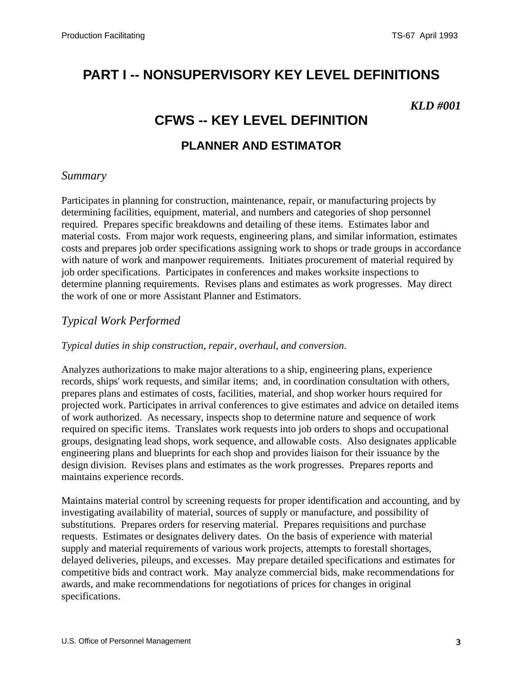# <span id="page-2-0"></span>**PART I -- NONSUPERVISORY KEY LEVEL DEFINITIONS**

#### *KLD #001*

# **CFWS -- KEY LEVEL DEFINITION PLANNER AND ESTIMATOR**

#### *Summary*

Participates in planning for construction, maintenance, repair, or manufacturing projects by determining facilities, equipment, material, and numbers and categories of shop personnel required. Prepares specific breakdowns and detailing of these items. Estimates labor and material costs. From major work requests, engineering plans, and similar information, estimates costs and prepares job order specifications assigning work to shops or trade groups in accordance with nature of work and manpower requirements. Initiates procurement of material required by job order specifications. Participates in conferences and makes worksite inspections to determine planning requirements. Revises plans and estimates as work progresses. May direct the work of one or more Assistant Planner and Estimators.

#### *Typical Work Performed*

#### *Typical duties in ship construction, repair, overhaul, and conversion*.

Analyzes authorizations to make major alterations to a ship, engineering plans, experience records, ships' work requests, and similar items; and, in coordination consultation with others, prepares plans and estimates of costs, facilities, material, and shop worker hours required for projected work. Participates in arrival conferences to give estimates and advice on detailed items of work authorized. As necessary, inspects shop to determine nature and sequence of work required on specific items. Translates work requests into job orders to shops and occupational groups, designating lead shops, work sequence, and allowable costs. Also designates applicable engineering plans and blueprints for each shop and provides liaison for their issuance by the design division. Revises plans and estimates as the work progresses. Prepares reports and maintains experience records.

Maintains material control by screening requests for proper identification and accounting, and by investigating availability of material, sources of supply or manufacture, and possibility of substitutions. Prepares orders for reserving material. Prepares requisitions and purchase requests. Estimates or designates delivery dates. On the basis of experience with material supply and material requirements of various work projects, attempts to forestall shortages, delayed deliveries, pileups, and excesses. May prepare detailed specifications and estimates for competitive bids and contract work. May analyze commercial bids, make recommendations for awards, and make recommendations for negotiations of prices for changes in original specifications.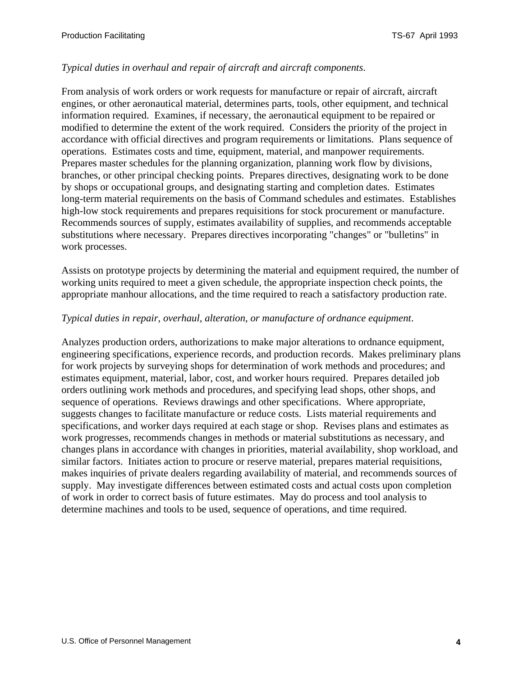#### *Typical duties in overhaul and repair of aircraft and aircraft components*.

From analysis of work orders or work requests for manufacture or repair of aircraft, aircraft engines, or other aeronautical material, determines parts, tools, other equipment, and technical information required. Examines, if necessary, the aeronautical equipment to be repaired or modified to determine the extent of the work required. Considers the priority of the project in accordance with official directives and program requirements or limitations. Plans sequence of operations. Estimates costs and time, equipment, material, and manpower requirements. Prepares master schedules for the planning organization, planning work flow by divisions, branches, or other principal checking points. Prepares directives, designating work to be done by shops or occupational groups, and designating starting and completion dates. Estimates long-term material requirements on the basis of Command schedules and estimates. Establishes high-low stock requirements and prepares requisitions for stock procurement or manufacture. Recommends sources of supply, estimates availability of supplies, and recommends acceptable substitutions where necessary. Prepares directives incorporating "changes" or "bulletins" in work processes.

Assists on prototype projects by determining the material and equipment required, the number of working units required to meet a given schedule, the appropriate inspection check points, the appropriate manhour allocations, and the time required to reach a satisfactory production rate.

#### *Typical duties in repair, overhaul, alteration, or manufacture of ordnance equipment*.

Analyzes production orders, authorizations to make major alterations to ordnance equipment, engineering specifications, experience records, and production records. Makes preliminary plans for work projects by surveying shops for determination of work methods and procedures; and estimates equipment, material, labor, cost, and worker hours required. Prepares detailed job orders outlining work methods and procedures, and specifying lead shops, other shops, and sequence of operations. Reviews drawings and other specifications. Where appropriate, suggests changes to facilitate manufacture or reduce costs. Lists material requirements and specifications, and worker days required at each stage or shop. Revises plans and estimates as work progresses, recommends changes in methods or material substitutions as necessary, and changes plans in accordance with changes in priorities, material availability, shop workload, and similar factors. Initiates action to procure or reserve material, prepares material requisitions, makes inquiries of private dealers regarding availability of material, and recommends sources of supply. May investigate differences between estimated costs and actual costs upon completion of work in order to correct basis of future estimates. May do process and tool analysis to determine machines and tools to be used, sequence of operations, and time required.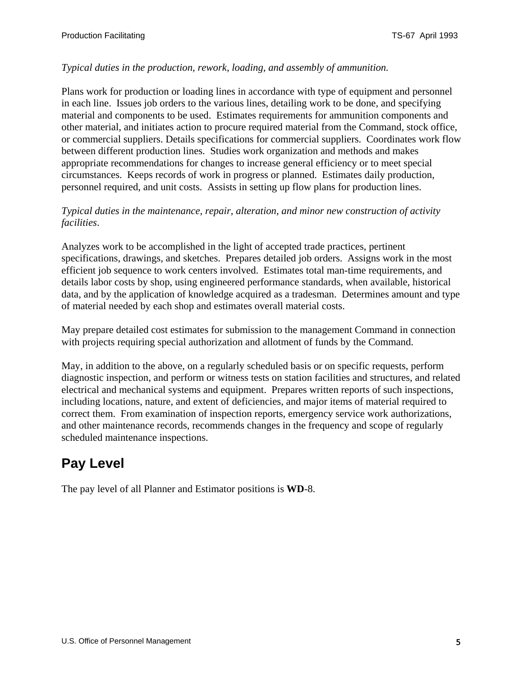#### *Typical duties in the production, rework, loading, and assembly of ammunition.*

Plans work for production or loading lines in accordance with type of equipment and personnel in each line. Issues job orders to the various lines, detailing work to be done, and specifying material and components to be used. Estimates requirements for ammunition components and other material, and initiates action to procure required material from the Command, stock office, or commercial suppliers. Details specifications for commercial suppliers. Coordinates work flow between different production lines. Studies work organization and methods and makes appropriate recommendations for changes to increase general efficiency or to meet special circumstances. Keeps records of work in progress or planned. Estimates daily production, personnel required, and unit costs. Assists in setting up flow plans for production lines.

#### *Typical duties in the maintenance, repair, alteration, and minor new construction of activity facilities*.

Analyzes work to be accomplished in the light of accepted trade practices, pertinent specifications, drawings, and sketches. Prepares detailed job orders. Assigns work in the most efficient job sequence to work centers involved. Estimates total man-time requirements, and details labor costs by shop, using engineered performance standards, when available, historical data, and by the application of knowledge acquired as a tradesman. Determines amount and type of material needed by each shop and estimates overall material costs.

May prepare detailed cost estimates for submission to the management Command in connection with projects requiring special authorization and allotment of funds by the Command.

May, in addition to the above, on a regularly scheduled basis or on specific requests, perform diagnostic inspection, and perform or witness tests on station facilities and structures, and related electrical and mechanical systems and equipment. Prepares written reports of such inspections, including locations, nature, and extent of deficiencies, and major items of material required to correct them. From examination of inspection reports, emergency service work authorizations, and other maintenance records, recommends changes in the frequency and scope of regularly scheduled maintenance inspections.

# **Pay Level**

The pay level of all Planner and Estimator positions is **WD**-8.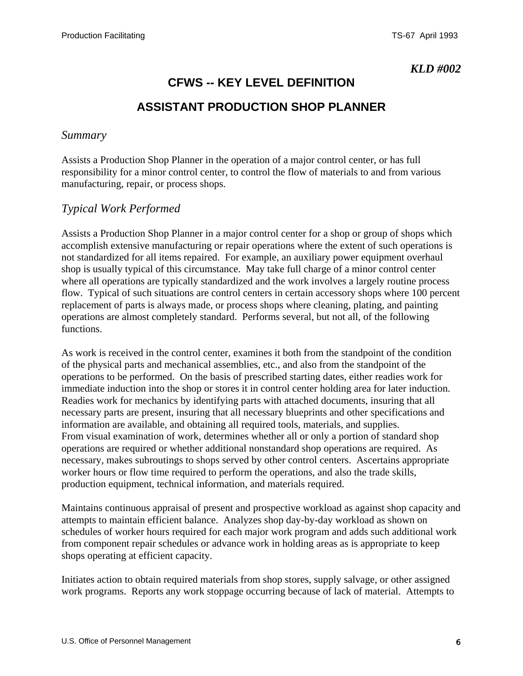# **CFWS -- KEY LEVEL DEFINITION ASSISTANT PRODUCTION SHOP PLANNER**

#### <span id="page-5-0"></span>*Summary*

Assists a Production Shop Planner in the operation of a major control center, or has full responsibility for a minor control center, to control the flow of materials to and from various manufacturing, repair, or process shops.

#### *Typical Work Performed*

Assists a Production Shop Planner in a major control center for a shop or group of shops which accomplish extensive manufacturing or repair operations where the extent of such operations is not standardized for all items repaired. For example, an auxiliary power equipment overhaul shop is usually typical of this circumstance. May take full charge of a minor control center where all operations are typically standardized and the work involves a largely routine process flow. Typical of such situations are control centers in certain accessory shops where 100 percent replacement of parts is always made, or process shops where cleaning, plating, and painting operations are almost completely standard. Performs several, but not all, of the following functions.

As work is received in the control center, examines it both from the standpoint of the condition of the physical parts and mechanical assemblies, etc., and also from the standpoint of the operations to be performed. On the basis of prescribed starting dates, either readies work for immediate induction into the shop or stores it in control center holding area for later induction. Readies work for mechanics by identifying parts with attached documents, insuring that all necessary parts are present, insuring that all necessary blueprints and other specifications and information are available, and obtaining all required tools, materials, and supplies. From visual examination of work, determines whether all or only a portion of standard shop operations are required or whether additional nonstandard shop operations are required. As necessary, makes subroutings to shops served by other control centers. Ascertains appropriate worker hours or flow time required to perform the operations, and also the trade skills, production equipment, technical information, and materials required.

Maintains continuous appraisal of present and prospective workload as against shop capacity and attempts to maintain efficient balance. Analyzes shop day-by-day workload as shown on schedules of worker hours required for each major work program and adds such additional work from component repair schedules or advance work in holding areas as is appropriate to keep shops operating at efficient capacity.

Initiates action to obtain required materials from shop stores, supply salvage, or other assigned work programs. Reports any work stoppage occurring because of lack of material. Attempts to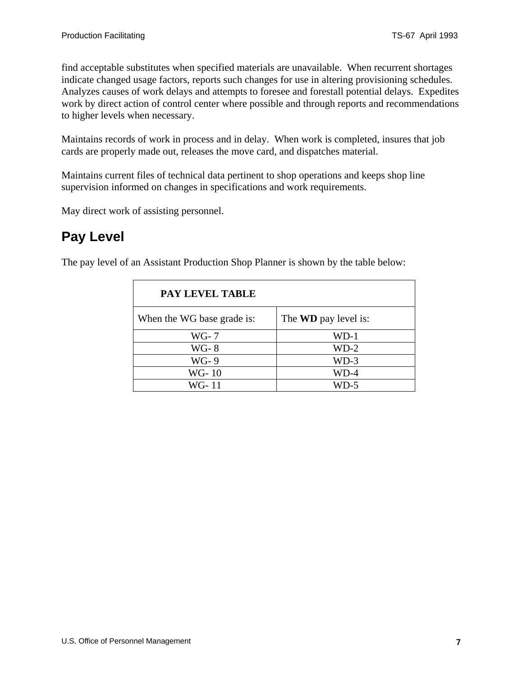find acceptable substitutes when specified materials are unavailable. When recurrent shortages indicate changed usage factors, reports such changes for use in altering provisioning schedules. Analyzes causes of work delays and attempts to foresee and forestall potential delays. Expedites work by direct action of control center where possible and through reports and recommendations to higher levels when necessary.

Maintains records of work in process and in delay. When work is completed, insures that job cards are properly made out, releases the move card, and dispatches material.

Maintains current files of technical data pertinent to shop operations and keeps shop line supervision informed on changes in specifications and work requirements.

May direct work of assisting personnel.

### **Pay Level**

The pay level of an Assistant Production Shop Planner is shown by the table below:

| PAY LEVEL TABLE            |                             |
|----------------------------|-----------------------------|
| When the WG base grade is: | The <b>WD</b> pay level is: |
| $WG-7$                     | $WD-1$                      |
| $WG-8$                     | $WD-2$                      |
| WG-9                       | $WD-3$                      |
| WG-10                      | WD-4                        |
| WG- 11                     | WD-5                        |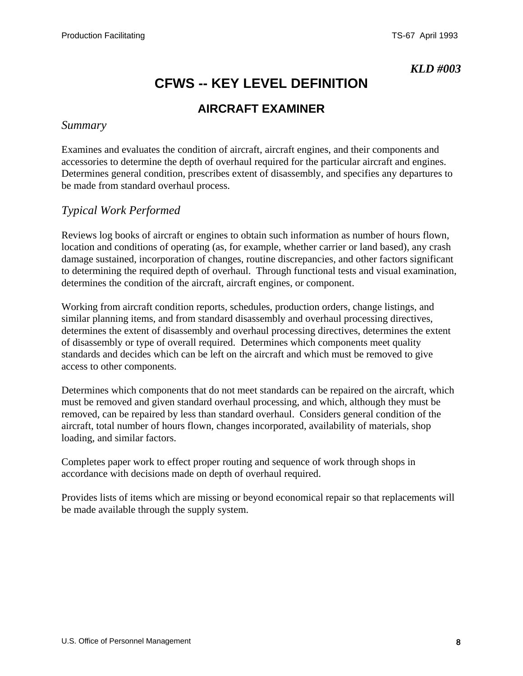# **CFWS -- KEY LEVEL DEFINITION**

### **AIRCRAFT EXAMINER**

#### <span id="page-7-0"></span>*Summary*

Examines and evaluates the condition of aircraft, aircraft engines, and their components and accessories to determine the depth of overhaul required for the particular aircraft and engines. Determines general condition, prescribes extent of disassembly, and specifies any departures to be made from standard overhaul process.

#### *Typical Work Performed*

Reviews log books of aircraft or engines to obtain such information as number of hours flown, location and conditions of operating (as, for example, whether carrier or land based), any crash damage sustained, incorporation of changes, routine discrepancies, and other factors significant to determining the required depth of overhaul. Through functional tests and visual examination, determines the condition of the aircraft, aircraft engines, or component.

Working from aircraft condition reports, schedules, production orders, change listings, and similar planning items, and from standard disassembly and overhaul processing directives, determines the extent of disassembly and overhaul processing directives, determines the extent of disassembly or type of overall required. Determines which components meet quality standards and decides which can be left on the aircraft and which must be removed to give access to other components.

Determines which components that do not meet standards can be repaired on the aircraft, which must be removed and given standard overhaul processing, and which, although they must be removed, can be repaired by less than standard overhaul. Considers general condition of the aircraft, total number of hours flown, changes incorporated, availability of materials, shop loading, and similar factors.

Completes paper work to effect proper routing and sequence of work through shops in accordance with decisions made on depth of overhaul required.

Provides lists of items which are missing or beyond economical repair so that replacements will be made available through the supply system.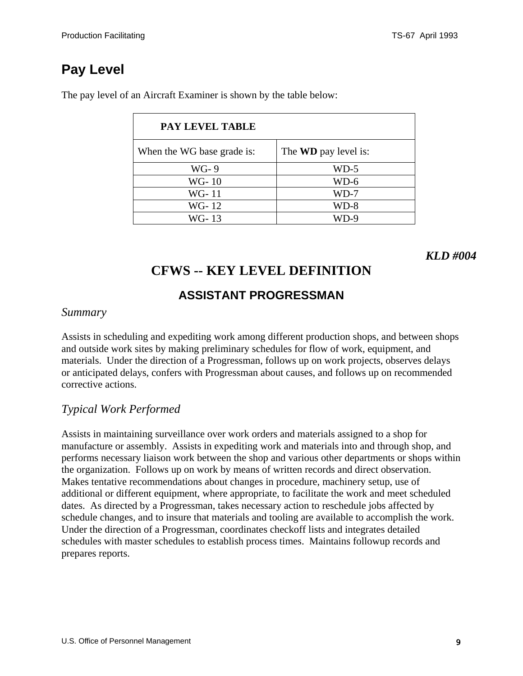| <b>PAY LEVEL TABLE</b>     |                             |
|----------------------------|-----------------------------|
| When the WG base grade is: | The <b>WD</b> pay level is: |
| WG-9                       | $WD-5$                      |
| WG-10                      | $WD-6$                      |
| WG-11                      | WD-7                        |
| WG-12                      | WD-8                        |
| WG-13                      | WD-9                        |

<span id="page-8-0"></span>The pay level of an Aircraft Examiner is shown by the table below:

*KLD #004*

# **CFWS -- KEY LEVEL DEFINITION**

### **ASSISTANT PROGRESSMAN**

#### *Summary*

Assists in scheduling and expediting work among different production shops, and between shops and outside work sites by making preliminary schedules for flow of work, equipment, and materials. Under the direction of a Progressman, follows up on work projects, observes delays or anticipated delays, confers with Progressman about causes, and follows up on recommended corrective actions.

### *Typical Work Performed*

Assists in maintaining surveillance over work orders and materials assigned to a shop for manufacture or assembly. Assists in expediting work and materials into and through shop, and performs necessary liaison work between the shop and various other departments or shops within the organization. Follows up on work by means of written records and direct observation. Makes tentative recommendations about changes in procedure, machinery setup, use of additional or different equipment, where appropriate, to facilitate the work and meet scheduled dates. As directed by a Progressman, takes necessary action to reschedule jobs affected by schedule changes, and to insure that materials and tooling are available to accomplish the work. Under the direction of a Progressman, coordinates checkoff lists and integrates detailed schedules with master schedules to establish process times. Maintains followup records and prepares reports.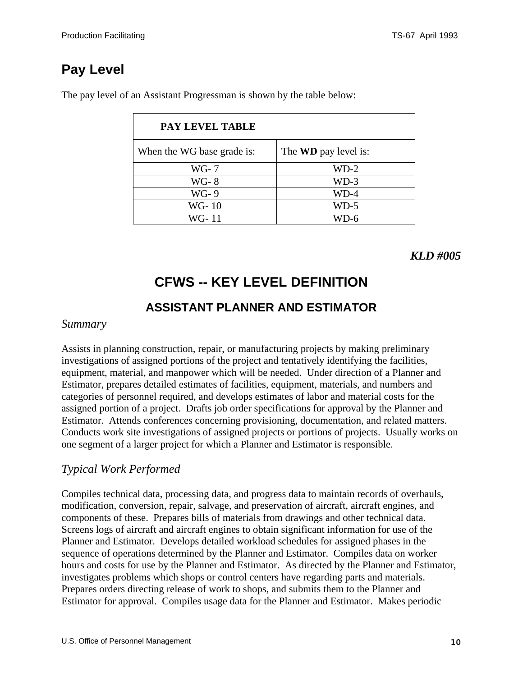| <b>PAY LEVEL TABLE</b>     |                             |
|----------------------------|-----------------------------|
| When the WG base grade is: | The <b>WD</b> pay level is: |
| $WG-7$                     | $WD-2$                      |
| <b>WG-8</b>                | $WD-3$                      |
| WG-9                       | WD-4                        |
| WG-10                      | WD-5                        |
| WG- 11                     | D-6                         |

<span id="page-9-0"></span>The pay level of an Assistant Progressman is shown by the table below:

### *KLD #005*

# **CFWS -- KEY LEVEL DEFINITION**

### **ASSISTANT PLANNER AND ESTIMATOR**

#### *Summary*

Assists in planning construction, repair, or manufacturing projects by making preliminary investigations of assigned portions of the project and tentatively identifying the facilities, equipment, material, and manpower which will be needed. Under direction of a Planner and Estimator, prepares detailed estimates of facilities, equipment, materials, and numbers and categories of personnel required, and develops estimates of labor and material costs for the assigned portion of a project. Drafts job order specifications for approval by the Planner and Estimator. Attends conferences concerning provisioning, documentation, and related matters. Conducts work site investigations of assigned projects or portions of projects. Usually works on one segment of a larger project for which a Planner and Estimator is responsible.

### *Typical Work Performed*

Compiles technical data, processing data, and progress data to maintain records of overhauls, modification, conversion, repair, salvage, and preservation of aircraft, aircraft engines, and components of these. Prepares bills of materials from drawings and other technical data. Screens logs of aircraft and aircraft engines to obtain significant information for use of the Planner and Estimator. Develops detailed workload schedules for assigned phases in the sequence of operations determined by the Planner and Estimator. Compiles data on worker hours and costs for use by the Planner and Estimator. As directed by the Planner and Estimator, investigates problems which shops or control centers have regarding parts and materials. Prepares orders directing release of work to shops, and submits them to the Planner and Estimator for approval. Compiles usage data for the Planner and Estimator. Makes periodic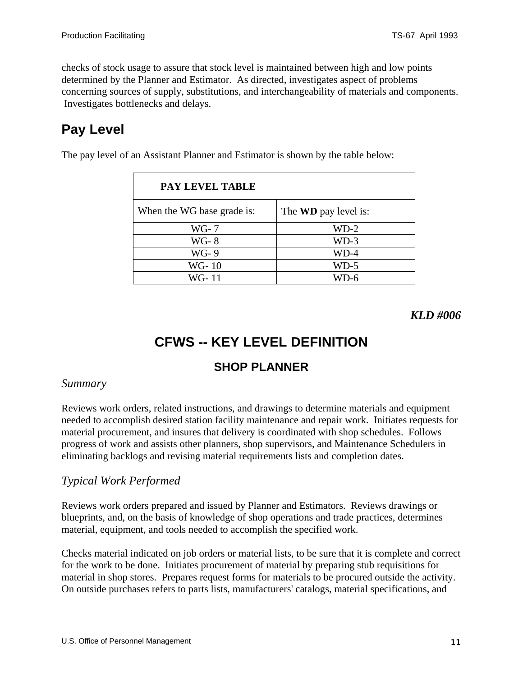<span id="page-10-0"></span>checks of stock usage to assure that stock level is maintained between high and low points determined by the Planner and Estimator. As directed, investigates aspect of problems concerning sources of supply, substitutions, and interchangeability of materials and components. Investigates bottlenecks and delays.

# **Pay Level**

The pay level of an Assistant Planner and Estimator is shown by the table below:

| <b>PAY LEVEL TABLE</b>     |                             |
|----------------------------|-----------------------------|
| When the WG base grade is: | The <b>WD</b> pay level is: |
| $WG-7$                     | $WD-2$                      |
| <b>WG-8</b>                | $WD-3$                      |
| WG-9                       | $WD-4$                      |
| WG-10                      | WD-5                        |
| WG- 11                     |                             |

*KLD #006*

# **CFWS -- KEY LEVEL DEFINITION**

### **SHOP PLANNER**

#### *Summary*

Reviews work orders, related instructions, and drawings to determine materials and equipment needed to accomplish desired station facility maintenance and repair work. Initiates requests for material procurement, and insures that delivery is coordinated with shop schedules. Follows progress of work and assists other planners, shop supervisors, and Maintenance Schedulers in eliminating backlogs and revising material requirements lists and completion dates.

### *Typical Work Performed*

Reviews work orders prepared and issued by Planner and Estimators. Reviews drawings or blueprints, and, on the basis of knowledge of shop operations and trade practices, determines material, equipment, and tools needed to accomplish the specified work.

Checks material indicated on job orders or material lists, to be sure that it is complete and correct for the work to be done. Initiates procurement of material by preparing stub requisitions for material in shop stores. Prepares request forms for materials to be procured outside the activity. On outside purchases refers to parts lists, manufacturers' catalogs, material specifications, and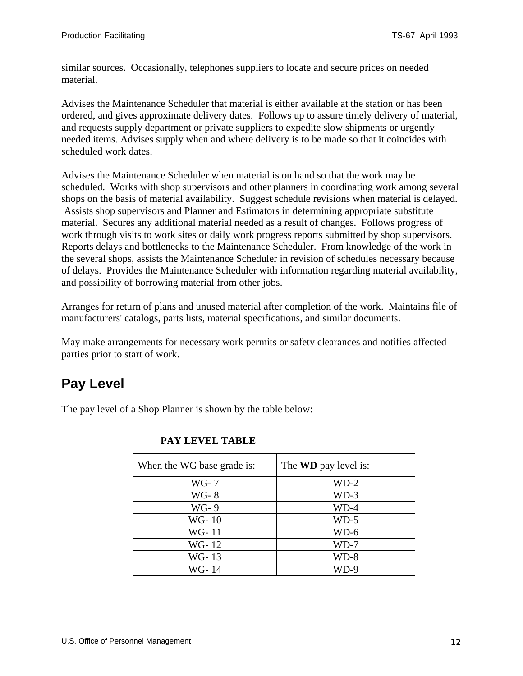similar sources. Occasionally, telephones suppliers to locate and secure prices on needed material.

Advises the Maintenance Scheduler that material is either available at the station or has been ordered, and gives approximate delivery dates. Follows up to assure timely delivery of material, and requests supply department or private suppliers to expedite slow shipments or urgently needed items. Advises supply when and where delivery is to be made so that it coincides with scheduled work dates.

Advises the Maintenance Scheduler when material is on hand so that the work may be scheduled. Works with shop supervisors and other planners in coordinating work among several shops on the basis of material availability. Suggest schedule revisions when material is delayed. Assists shop supervisors and Planner and Estimators in determining appropriate substitute material. Secures any additional material needed as a result of changes. Follows progress of work through visits to work sites or daily work progress reports submitted by shop supervisors. Reports delays and bottlenecks to the Maintenance Scheduler. From knowledge of the work in the several shops, assists the Maintenance Scheduler in revision of schedules necessary because of delays. Provides the Maintenance Scheduler with information regarding material availability, and possibility of borrowing material from other jobs.

Arranges for return of plans and unused material after completion of the work. Maintains file of manufacturers' catalogs, parts lists, material specifications, and similar documents.

May make arrangements for necessary work permits or safety clearances and notifies affected parties prior to start of work.

# **Pay Level**

The pay level of a Shop Planner is shown by the table below:

| <b>PAY LEVEL TABLE</b>     |                             |
|----------------------------|-----------------------------|
| When the WG base grade is: | The <b>WD</b> pay level is: |
| WG- 7                      | $WD-2$                      |
| <b>WG-8</b>                | $WD-3$                      |
| WG-9                       | WD-4                        |
| WG-10                      | $WD-5$                      |
| WG-11                      | $WD-6$                      |
| WG-12                      | WD-7                        |
| WG-13                      | $WD-8$                      |
| WG-14                      | WD-9                        |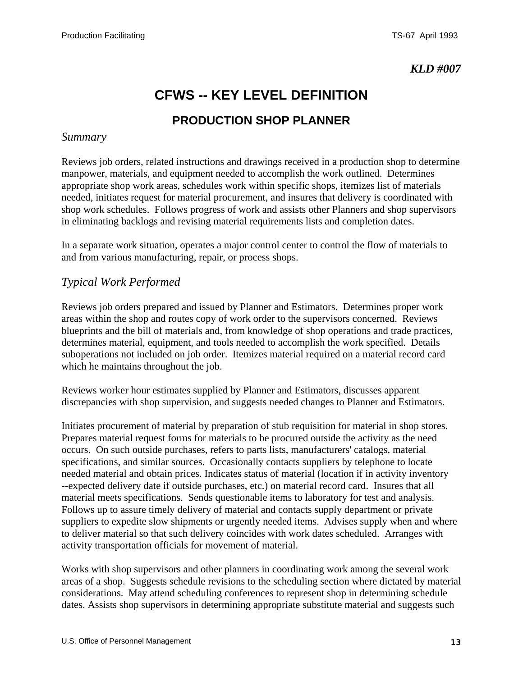# **CFWS -- KEY LEVEL DEFINITION**

### **PRODUCTION SHOP PLANNER**

#### <span id="page-12-0"></span>*Summary*

Reviews job orders, related instructions and drawings received in a production shop to determine manpower, materials, and equipment needed to accomplish the work outlined. Determines appropriate shop work areas, schedules work within specific shops, itemizes list of materials needed, initiates request for material procurement, and insures that delivery is coordinated with shop work schedules. Follows progress of work and assists other Planners and shop supervisors in eliminating backlogs and revising material requirements lists and completion dates.

In a separate work situation, operates a major control center to control the flow of materials to and from various manufacturing, repair, or process shops.

#### *Typical Work Performed*

Reviews job orders prepared and issued by Planner and Estimators. Determines proper work areas within the shop and routes copy of work order to the supervisors concerned. Reviews blueprints and the bill of materials and, from knowledge of shop operations and trade practices, determines material, equipment, and tools needed to accomplish the work specified. Details suboperations not included on job order. Itemizes material required on a material record card which he maintains throughout the job.

Reviews worker hour estimates supplied by Planner and Estimators, discusses apparent discrepancies with shop supervision, and suggests needed changes to Planner and Estimators.

Initiates procurement of material by preparation of stub requisition for material in shop stores. Prepares material request forms for materials to be procured outside the activity as the need occurs. On such outside purchases, refers to parts lists, manufacturers' catalogs, material specifications, and similar sources. Occasionally contacts suppliers by telephone to locate needed material and obtain prices. Indicates status of material (location if in activity inventory --expected delivery date if outside purchases, etc.) on material record card. Insures that all material meets specifications. Sends questionable items to laboratory for test and analysis. Follows up to assure timely delivery of material and contacts supply department or private suppliers to expedite slow shipments or urgently needed items. Advises supply when and where to deliver material so that such delivery coincides with work dates scheduled. Arranges with activity transportation officials for movement of material.

Works with shop supervisors and other planners in coordinating work among the several work areas of a shop. Suggests schedule revisions to the scheduling section where dictated by material considerations. May attend scheduling conferences to represent shop in determining schedule dates. Assists shop supervisors in determining appropriate substitute material and suggests such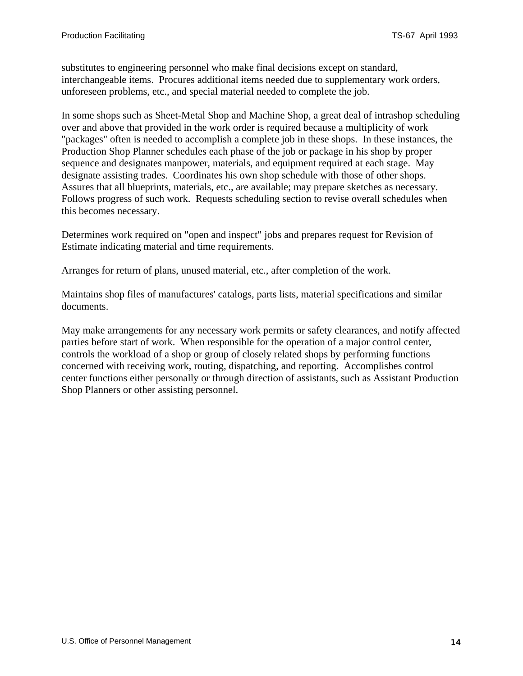substitutes to engineering personnel who make final decisions except on standard, interchangeable items. Procures additional items needed due to supplementary work orders, unforeseen problems, etc., and special material needed to complete the job.

In some shops such as Sheet-Metal Shop and Machine Shop, a great deal of intrashop scheduling over and above that provided in the work order is required because a multiplicity of work "packages" often is needed to accomplish a complete job in these shops. In these instances, the Production Shop Planner schedules each phase of the job or package in his shop by proper sequence and designates manpower, materials, and equipment required at each stage. May designate assisting trades. Coordinates his own shop schedule with those of other shops. Assures that all blueprints, materials, etc., are available; may prepare sketches as necessary. Follows progress of such work. Requests scheduling section to revise overall schedules when this becomes necessary.

Determines work required on "open and inspect" jobs and prepares request for Revision of Estimate indicating material and time requirements.

Arranges for return of plans, unused material, etc., after completion of the work.

Maintains shop files of manufactures' catalogs, parts lists, material specifications and similar documents.

May make arrangements for any necessary work permits or safety clearances, and notify affected parties before start of work. When responsible for the operation of a major control center, controls the workload of a shop or group of closely related shops by performing functions concerned with receiving work, routing, dispatching, and reporting. Accomplishes control center functions either personally or through direction of assistants, such as Assistant Production Shop Planners or other assisting personnel.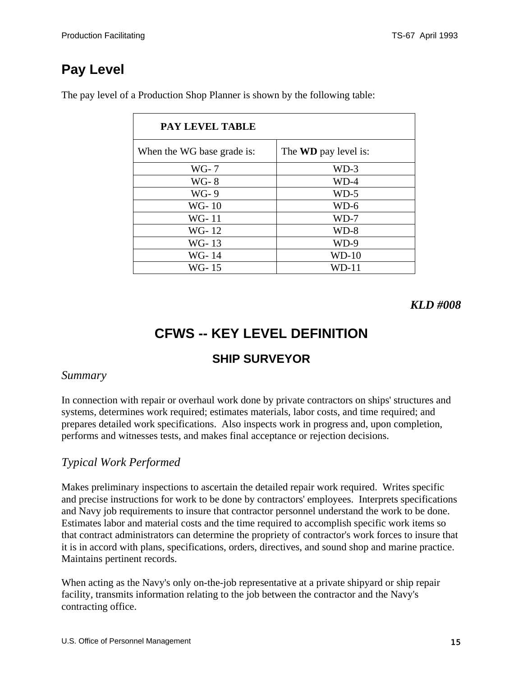<span id="page-14-0"></span>The pay level of a Production Shop Planner is shown by the following table:

| <b>PAY LEVEL TABLE</b>     |                             |
|----------------------------|-----------------------------|
| When the WG base grade is: | The <b>WD</b> pay level is: |
| WG- 7                      | $WD-3$                      |
| <b>WG-8</b>                | $WD-4$                      |
| WG-9                       | $WD-5$                      |
| WG-10                      | WD-6                        |
| WG-11                      | WD-7                        |
| WG-12                      | $WD-8$                      |
| WG-13                      | WD-9                        |
| WG-14                      | $WD-10$                     |
| WG-15                      | WD-11                       |

*KLD #008* 

# **CFWS -- KEY LEVEL DEFINITION**

### **SHIP SURVEYOR**

#### *Summary*

In connection with repair or overhaul work done by private contractors on ships' structures and systems, determines work required; estimates materials, labor costs, and time required; and prepares detailed work specifications. Also inspects work in progress and, upon completion, performs and witnesses tests, and makes final acceptance or rejection decisions.

### *Typical Work Performed*

Makes preliminary inspections to ascertain the detailed repair work required. Writes specific and precise instructions for work to be done by contractors' employees. Interprets specifications and Navy job requirements to insure that contractor personnel understand the work to be done. Estimates labor and material costs and the time required to accomplish specific work items so that contract administrators can determine the propriety of contractor's work forces to insure that it is in accord with plans, specifications, orders, directives, and sound shop and marine practice. Maintains pertinent records.

When acting as the Navy's only on-the-job representative at a private shipyard or ship repair facility, transmits information relating to the job between the contractor and the Navy's contracting office.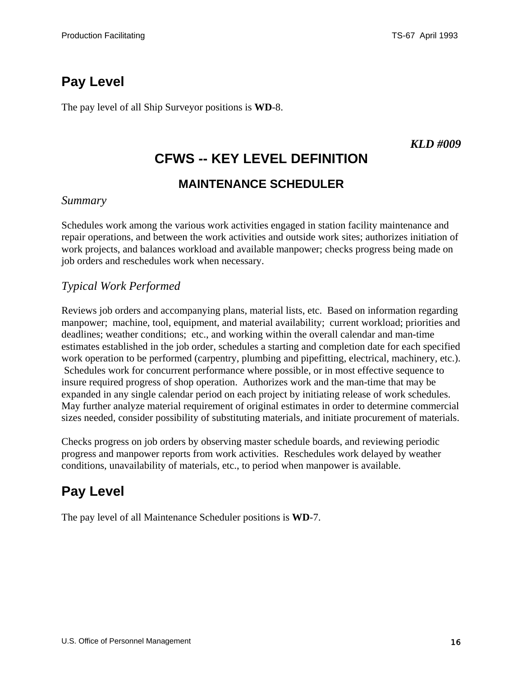<span id="page-15-0"></span>The pay level of all Ship Surveyor positions is **WD**-8.

#### *KLD #009*

# **CFWS -- KEY LEVEL DEFINITION**

### **MAINTENANCE SCHEDULER**

#### *Summary*

Schedules work among the various work activities engaged in station facility maintenance and repair operations, and between the work activities and outside work sites; authorizes initiation of work projects, and balances workload and available manpower; checks progress being made on job orders and reschedules work when necessary.

### *Typical Work Performed*

Reviews job orders and accompanying plans, material lists, etc. Based on information regarding manpower; machine, tool, equipment, and material availability; current workload; priorities and deadlines; weather conditions; etc., and working within the overall calendar and man-time estimates established in the job order, schedules a starting and completion date for each specified work operation to be performed (carpentry, plumbing and pipefitting, electrical, machinery, etc.). Schedules work for concurrent performance where possible, or in most effective sequence to insure required progress of shop operation. Authorizes work and the man-time that may be expanded in any single calendar period on each project by initiating release of work schedules. May further analyze material requirement of original estimates in order to determine commercial sizes needed, consider possibility of substituting materials, and initiate procurement of materials.

Checks progress on job orders by observing master schedule boards, and reviewing periodic progress and manpower reports from work activities. Reschedules work delayed by weather conditions, unavailability of materials, etc., to period when manpower is available.

### **Pay Level**

The pay level of all Maintenance Scheduler positions is **WD**-7.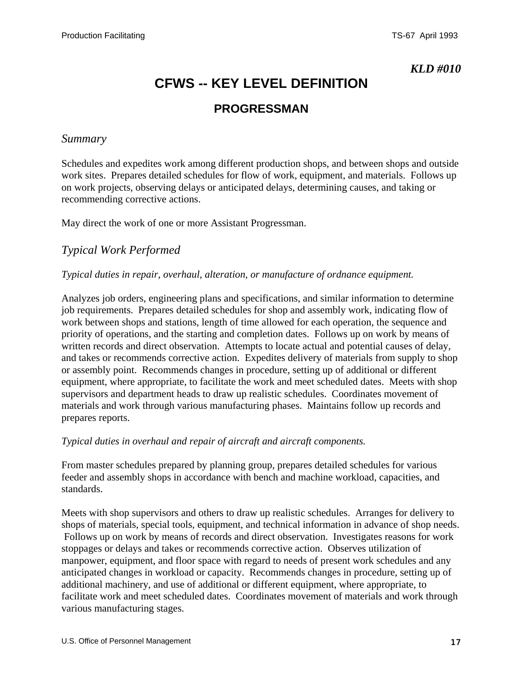# **CFWS -- KEY LEVEL DEFINITION**

### **PROGRESSMAN**

#### <span id="page-16-0"></span>*Summary*

Schedules and expedites work among different production shops, and between shops and outside work sites. Prepares detailed schedules for flow of work, equipment, and materials. Follows up on work projects, observing delays or anticipated delays, determining causes, and taking or recommending corrective actions.

May direct the work of one or more Assistant Progressman.

#### *Typical Work Performed*

#### *Typical duties in repair, overhaul, alteration, or manufacture of ordnance equipment.*

Analyzes job orders, engineering plans and specifications, and similar information to determine job requirements. Prepares detailed schedules for shop and assembly work, indicating flow of work between shops and stations, length of time allowed for each operation, the sequence and priority of operations, and the starting and completion dates. Follows up on work by means of written records and direct observation. Attempts to locate actual and potential causes of delay, and takes or recommends corrective action. Expedites delivery of materials from supply to shop or assembly point. Recommends changes in procedure, setting up of additional or different equipment, where appropriate, to facilitate the work and meet scheduled dates. Meets with shop supervisors and department heads to draw up realistic schedules. Coordinates movement of materials and work through various manufacturing phases. Maintains follow up records and prepares reports.

#### *Typical duties in overhaul and repair of aircraft and aircraft components.*

From master schedules prepared by planning group, prepares detailed schedules for various feeder and assembly shops in accordance with bench and machine workload, capacities, and standards.

Meets with shop supervisors and others to draw up realistic schedules. Arranges for delivery to shops of materials, special tools, equipment, and technical information in advance of shop needs. Follows up on work by means of records and direct observation. Investigates reasons for work stoppages or delays and takes or recommends corrective action. Observes utilization of manpower, equipment, and floor space with regard to needs of present work schedules and any anticipated changes in workload or capacity. Recommends changes in procedure, setting up of additional machinery, and use of additional or different equipment, where appropriate, to facilitate work and meet scheduled dates. Coordinates movement of materials and work through various manufacturing stages.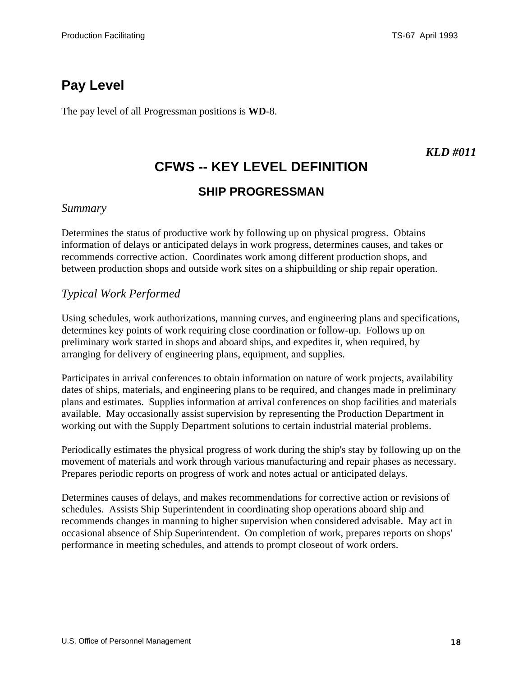<span id="page-17-0"></span>The pay level of all Progressman positions is **WD**-8.

### *KLD #011*

# **CFWS -- KEY LEVEL DEFINITION**

### **SHIP PROGRESSMAN**

#### *Summary*

Determines the status of productive work by following up on physical progress. Obtains information of delays or anticipated delays in work progress, determines causes, and takes or recommends corrective action. Coordinates work among different production shops, and between production shops and outside work sites on a shipbuilding or ship repair operation.

#### *Typical Work Performed*

Using schedules, work authorizations, manning curves, and engineering plans and specifications, determines key points of work requiring close coordination or follow-up. Follows up on preliminary work started in shops and aboard ships, and expedites it, when required, by arranging for delivery of engineering plans, equipment, and supplies.

Participates in arrival conferences to obtain information on nature of work projects, availability dates of ships, materials, and engineering plans to be required, and changes made in preliminary plans and estimates. Supplies information at arrival conferences on shop facilities and materials available. May occasionally assist supervision by representing the Production Department in working out with the Supply Department solutions to certain industrial material problems.

Periodically estimates the physical progress of work during the ship's stay by following up on the movement of materials and work through various manufacturing and repair phases as necessary. Prepares periodic reports on progress of work and notes actual or anticipated delays.

Determines causes of delays, and makes recommendations for corrective action or revisions of schedules. Assists Ship Superintendent in coordinating shop operations aboard ship and recommends changes in manning to higher supervision when considered advisable. May act in occasional absence of Ship Superintendent. On completion of work, prepares reports on shops' performance in meeting schedules, and attends to prompt closeout of work orders.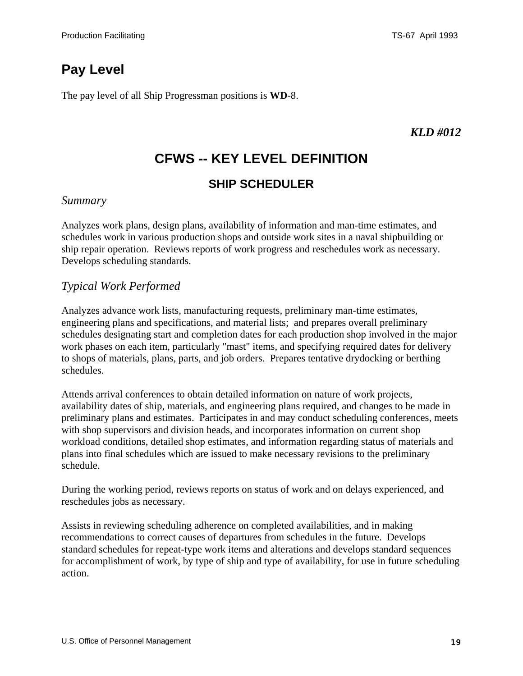<span id="page-18-0"></span>The pay level of all Ship Progressman positions is **WD**-8.

### *KLD #012*

# **CFWS -- KEY LEVEL DEFINITION**

### **SHIP SCHEDULER**

#### *Summary*

Analyzes work plans, design plans, availability of information and man-time estimates, and schedules work in various production shops and outside work sites in a naval shipbuilding or ship repair operation. Reviews reports of work progress and reschedules work as necessary. Develops scheduling standards.

### *Typical Work Performed*

Analyzes advance work lists, manufacturing requests, preliminary man-time estimates, engineering plans and specifications, and material lists; and prepares overall preliminary schedules designating start and completion dates for each production shop involved in the major work phases on each item, particularly "mast" items, and specifying required dates for delivery to shops of materials, plans, parts, and job orders. Prepares tentative drydocking or berthing schedules.

Attends arrival conferences to obtain detailed information on nature of work projects, availability dates of ship, materials, and engineering plans required, and changes to be made in preliminary plans and estimates. Participates in and may conduct scheduling conferences, meets with shop supervisors and division heads, and incorporates information on current shop workload conditions, detailed shop estimates, and information regarding status of materials and plans into final schedules which are issued to make necessary revisions to the preliminary schedule.

During the working period, reviews reports on status of work and on delays experienced, and reschedules jobs as necessary.

Assists in reviewing scheduling adherence on completed availabilities, and in making recommendations to correct causes of departures from schedules in the future. Develops standard schedules for repeat-type work items and alterations and develops standard sequences for accomplishment of work, by type of ship and type of availability, for use in future scheduling action.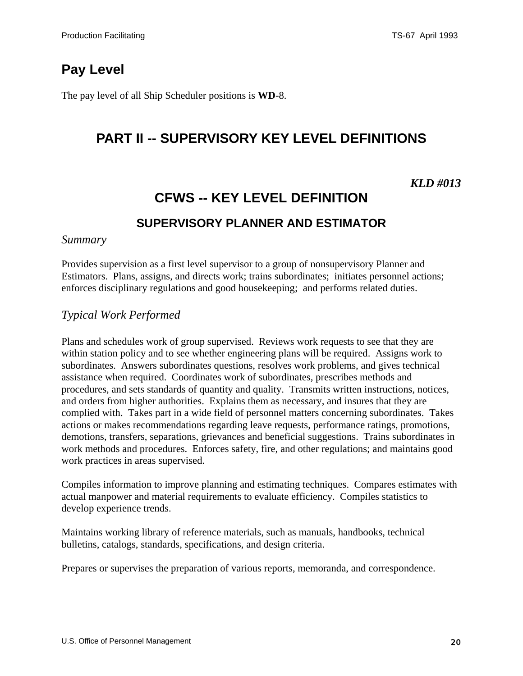<span id="page-19-0"></span>The pay level of all Ship Scheduler positions is **WD**-8.

### **PART II -- SUPERVISORY KEY LEVEL DEFINITIONS**

#### *KLD #013*

# **CFWS -- KEY LEVEL DEFINITION SUPERVISORY PLANNER AND ESTIMATOR**

#### *Summary*

Provides supervision as a first level supervisor to a group of nonsupervisory Planner and Estimators. Plans, assigns, and directs work; trains subordinates; initiates personnel actions; enforces disciplinary regulations and good housekeeping; and performs related duties.

#### *Typical Work Performed*

Plans and schedules work of group supervised. Reviews work requests to see that they are within station policy and to see whether engineering plans will be required. Assigns work to subordinates. Answers subordinates questions, resolves work problems, and gives technical assistance when required. Coordinates work of subordinates, prescribes methods and procedures, and sets standards of quantity and quality. Transmits written instructions, notices, and orders from higher authorities. Explains them as necessary, and insures that they are complied with. Takes part in a wide field of personnel matters concerning subordinates. Takes actions or makes recommendations regarding leave requests, performance ratings, promotions, demotions, transfers, separations, grievances and beneficial suggestions. Trains subordinates in work methods and procedures. Enforces safety, fire, and other regulations; and maintains good work practices in areas supervised.

Compiles information to improve planning and estimating techniques. Compares estimates with actual manpower and material requirements to evaluate efficiency. Compiles statistics to develop experience trends.

Maintains working library of reference materials, such as manuals, handbooks, technical bulletins, catalogs, standards, specifications, and design criteria.

Prepares or supervises the preparation of various reports, memoranda, and correspondence.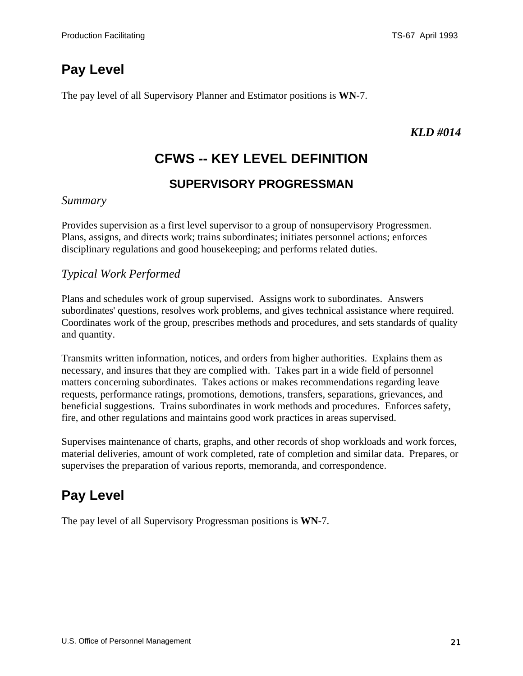<span id="page-20-0"></span>The pay level of all Supervisory Planner and Estimator positions is **WN**-7.

### *KLD #014*

# **CFWS -- KEY LEVEL DEFINITION**

### **SUPERVISORY PROGRESSMAN**

#### *Summary*

Provides supervision as a first level supervisor to a group of nonsupervisory Progressmen. Plans, assigns, and directs work; trains subordinates; initiates personnel actions; enforces disciplinary regulations and good housekeeping; and performs related duties.

### *Typical Work Performed*

Plans and schedules work of group supervised. Assigns work to subordinates. Answers subordinates' questions, resolves work problems, and gives technical assistance where required. Coordinates work of the group, prescribes methods and procedures, and sets standards of quality and quantity.

Transmits written information, notices, and orders from higher authorities. Explains them as necessary, and insures that they are complied with. Takes part in a wide field of personnel matters concerning subordinates. Takes actions or makes recommendations regarding leave requests, performance ratings, promotions, demotions, transfers, separations, grievances, and beneficial suggestions. Trains subordinates in work methods and procedures. Enforces safety, fire, and other regulations and maintains good work practices in areas supervised.

Supervises maintenance of charts, graphs, and other records of shop workloads and work forces, material deliveries, amount of work completed, rate of completion and similar data. Prepares, or supervises the preparation of various reports, memoranda, and correspondence.

# **Pay Level**

The pay level of all Supervisory Progressman positions is **WN**-7.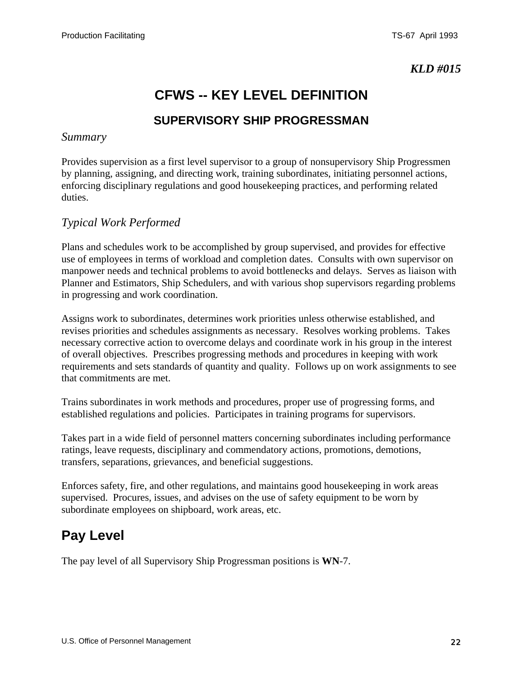# **CFWS -- KEY LEVEL DEFINITION**

### **SUPERVISORY SHIP PROGRESSMAN**

#### <span id="page-21-0"></span>*Summary*

Provides supervision as a first level supervisor to a group of nonsupervisory Ship Progressmen by planning, assigning, and directing work, training subordinates, initiating personnel actions, enforcing disciplinary regulations and good housekeeping practices, and performing related duties.

#### *Typical Work Performed*

Plans and schedules work to be accomplished by group supervised, and provides for effective use of employees in terms of workload and completion dates. Consults with own supervisor on manpower needs and technical problems to avoid bottlenecks and delays. Serves as liaison with Planner and Estimators, Ship Schedulers, and with various shop supervisors regarding problems in progressing and work coordination.

Assigns work to subordinates, determines work priorities unless otherwise established, and revises priorities and schedules assignments as necessary. Resolves working problems. Takes necessary corrective action to overcome delays and coordinate work in his group in the interest of overall objectives. Prescribes progressing methods and procedures in keeping with work requirements and sets standards of quantity and quality. Follows up on work assignments to see that commitments are met.

Trains subordinates in work methods and procedures, proper use of progressing forms, and established regulations and policies. Participates in training programs for supervisors.

Takes part in a wide field of personnel matters concerning subordinates including performance ratings, leave requests, disciplinary and commendatory actions, promotions, demotions, transfers, separations, grievances, and beneficial suggestions.

Enforces safety, fire, and other regulations, and maintains good housekeeping in work areas supervised. Procures, issues, and advises on the use of safety equipment to be worn by subordinate employees on shipboard, work areas, etc.

### **Pay Level**

The pay level of all Supervisory Ship Progressman positions is **WN**-7.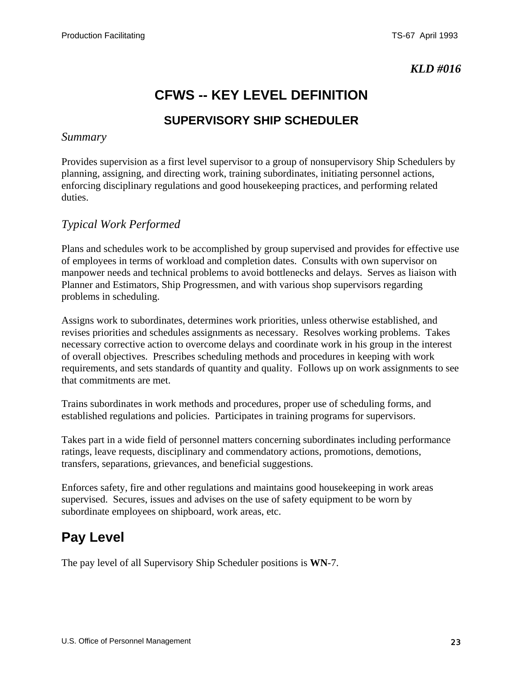# **CFWS -- KEY LEVEL DEFINITION**

### **SUPERVISORY SHIP SCHEDULER**

#### <span id="page-22-0"></span>*Summary*

Provides supervision as a first level supervisor to a group of nonsupervisory Ship Schedulers by planning, assigning, and directing work, training subordinates, initiating personnel actions, enforcing disciplinary regulations and good housekeeping practices, and performing related duties.

#### *Typical Work Performed*

Plans and schedules work to be accomplished by group supervised and provides for effective use of employees in terms of workload and completion dates. Consults with own supervisor on manpower needs and technical problems to avoid bottlenecks and delays. Serves as liaison with Planner and Estimators, Ship Progressmen, and with various shop supervisors regarding problems in scheduling.

Assigns work to subordinates, determines work priorities, unless otherwise established, and revises priorities and schedules assignments as necessary. Resolves working problems. Takes necessary corrective action to overcome delays and coordinate work in his group in the interest of overall objectives. Prescribes scheduling methods and procedures in keeping with work requirements, and sets standards of quantity and quality. Follows up on work assignments to see that commitments are met.

Trains subordinates in work methods and procedures, proper use of scheduling forms, and established regulations and policies. Participates in training programs for supervisors.

Takes part in a wide field of personnel matters concerning subordinates including performance ratings, leave requests, disciplinary and commendatory actions, promotions, demotions, transfers, separations, grievances, and beneficial suggestions.

Enforces safety, fire and other regulations and maintains good housekeeping in work areas supervised. Secures, issues and advises on the use of safety equipment to be worn by subordinate employees on shipboard, work areas, etc.

### **Pay Level**

The pay level of all Supervisory Ship Scheduler positions is **WN**-7.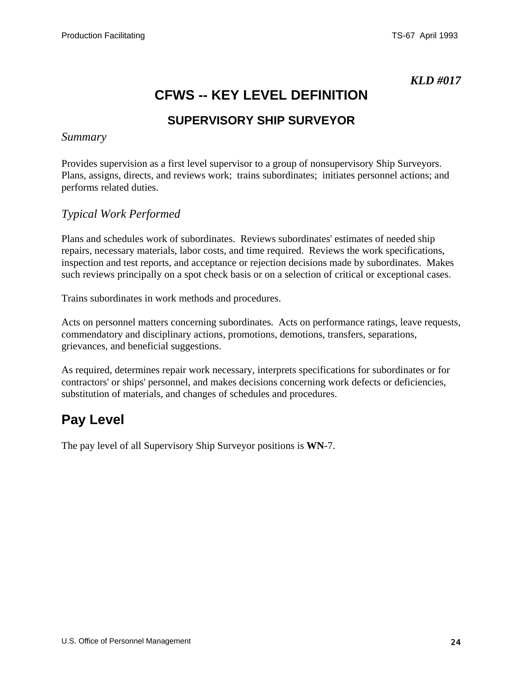## **CFWS -- KEY LEVEL DEFINITION**

### **SUPERVISORY SHIP SURVEYOR**

#### <span id="page-23-0"></span>*Summary*

Provides supervision as a first level supervisor to a group of nonsupervisory Ship Surveyors. Plans, assigns, directs, and reviews work; trains subordinates; initiates personnel actions; and performs related duties.

#### *Typical Work Performed*

Plans and schedules work of subordinates. Reviews subordinates' estimates of needed ship repairs, necessary materials, labor costs, and time required. Reviews the work specifications, inspection and test reports, and acceptance or rejection decisions made by subordinates. Makes such reviews principally on a spot check basis or on a selection of critical or exceptional cases.

Trains subordinates in work methods and procedures.

Acts on personnel matters concerning subordinates. Acts on performance ratings, leave requests, commendatory and disciplinary actions, promotions, demotions, transfers, separations, grievances, and beneficial suggestions.

As required, determines repair work necessary, interprets specifications for subordinates or for contractors' or ships' personnel, and makes decisions concerning work defects or deficiencies, substitution of materials, and changes of schedules and procedures.

### **Pay Level**

The pay level of all Supervisory Ship Surveyor positions is **WN**-7.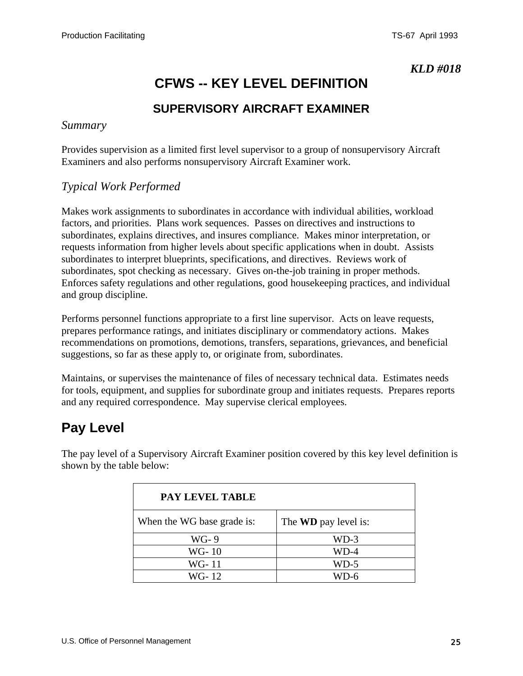# **CFWS -- KEY LEVEL DEFINITION**

### **SUPERVISORY AIRCRAFT EXAMINER**

#### <span id="page-24-0"></span>*Summary*

Provides supervision as a limited first level supervisor to a group of nonsupervisory Aircraft Examiners and also performs nonsupervisory Aircraft Examiner work.

#### *Typical Work Performed*

Makes work assignments to subordinates in accordance with individual abilities, workload factors, and priorities. Plans work sequences. Passes on directives and instructions to subordinates, explains directives, and insures compliance. Makes minor interpretation, or requests information from higher levels about specific applications when in doubt. Assists subordinates to interpret blueprints, specifications, and directives. Reviews work of subordinates, spot checking as necessary. Gives on-the-job training in proper methods. Enforces safety regulations and other regulations, good housekeeping practices, and individual and group discipline.

Performs personnel functions appropriate to a first line supervisor. Acts on leave requests, prepares performance ratings, and initiates disciplinary or commendatory actions. Makes recommendations on promotions, demotions, transfers, separations, grievances, and beneficial suggestions, so far as these apply to, or originate from, subordinates.

Maintains, or supervises the maintenance of files of necessary technical data. Estimates needs for tools, equipment, and supplies for subordinate group and initiates requests. Prepares reports and any required correspondence. May supervise clerical employees.

### **Pay Level**

**PAY LEVEL TABLE** When the WG base grade is: The **WD** pay level is: WG-9 ND-3 WG- 10 WD-4 WG- 11 WD-5 WG- 12 WD-6

The pay level of a Supervisory Aircraft Examiner position covered by this key level definition is shown by the table below: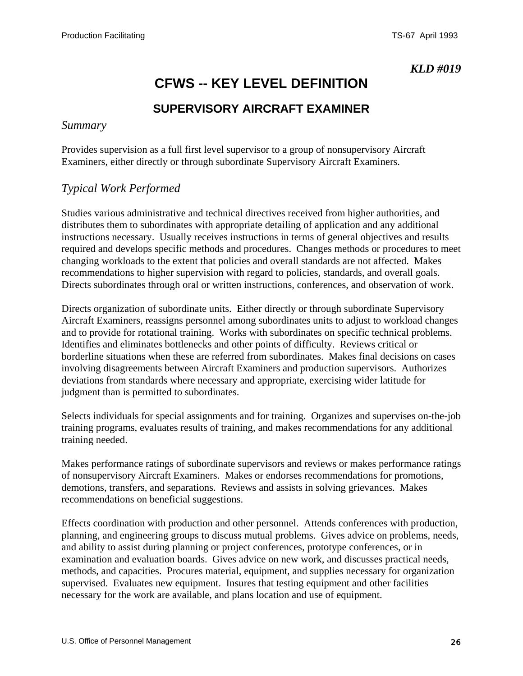# **CFWS -- KEY LEVEL DEFINITION**

### **SUPERVISORY AIRCRAFT EXAMINER**

#### <span id="page-25-0"></span>*Summary*

Provides supervision as a full first level supervisor to a group of nonsupervisory Aircraft Examiners, either directly or through subordinate Supervisory Aircraft Examiners.

#### *Typical Work Performed*

Studies various administrative and technical directives received from higher authorities, and distributes them to subordinates with appropriate detailing of application and any additional instructions necessary. Usually receives instructions in terms of general objectives and results required and develops specific methods and procedures. Changes methods or procedures to meet changing workloads to the extent that policies and overall standards are not affected. Makes recommendations to higher supervision with regard to policies, standards, and overall goals. Directs subordinates through oral or written instructions, conferences, and observation of work.

Directs organization of subordinate units. Either directly or through subordinate Supervisory Aircraft Examiners, reassigns personnel among subordinates units to adjust to workload changes and to provide for rotational training. Works with subordinates on specific technical problems. Identifies and eliminates bottlenecks and other points of difficulty. Reviews critical or borderline situations when these are referred from subordinates. Makes final decisions on cases involving disagreements between Aircraft Examiners and production supervisors. Authorizes deviations from standards where necessary and appropriate, exercising wider latitude for judgment than is permitted to subordinates.

Selects individuals for special assignments and for training. Organizes and supervises on-the-job training programs, evaluates results of training, and makes recommendations for any additional training needed.

Makes performance ratings of subordinate supervisors and reviews or makes performance ratings of nonsupervisory Aircraft Examiners. Makes or endorses recommendations for promotions, demotions, transfers, and separations. Reviews and assists in solving grievances. Makes recommendations on beneficial suggestions.

Effects coordination with production and other personnel. Attends conferences with production, planning, and engineering groups to discuss mutual problems. Gives advice on problems, needs, and ability to assist during planning or project conferences, prototype conferences, or in examination and evaluation boards. Gives advice on new work, and discusses practical needs, methods, and capacities. Procures material, equipment, and supplies necessary for organization supervised. Evaluates new equipment. Insures that testing equipment and other facilities necessary for the work are available, and plans location and use of equipment.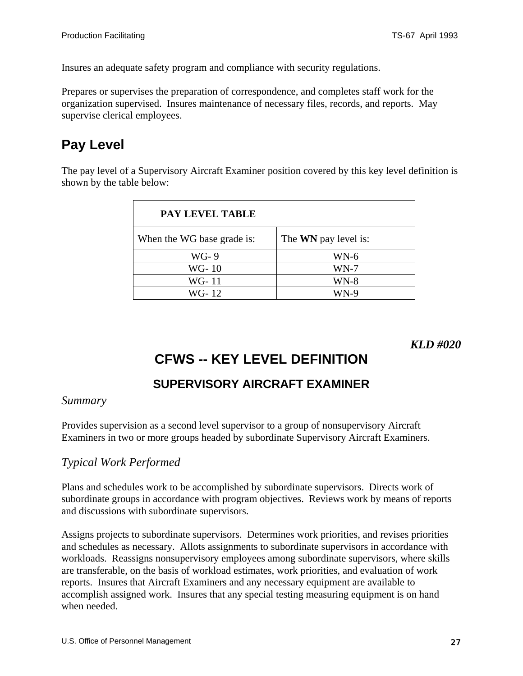<span id="page-26-0"></span>Insures an adequate safety program and compliance with security regulations.

Prepares or supervises the preparation of correspondence, and completes staff work for the organization supervised. Insures maintenance of necessary files, records, and reports. May supervise clerical employees.

# **Pay Level**

The pay level of a Supervisory Aircraft Examiner position covered by this key level definition is shown by the table below:

| PAY LEVEL TABLE            |                             |
|----------------------------|-----------------------------|
| When the WG base grade is: | The <b>WN</b> pay level is: |
| WG-9                       | $WN-6$                      |
| WG-10                      | $WN-7$                      |
| WG-11                      | <b>WN-8</b>                 |
| WG-12                      | $WN-9$                      |

#### *KLD #020*

# **CFWS -- KEY LEVEL DEFINITION**

### **SUPERVISORY AIRCRAFT EXAMINER**

#### *Summary*

Provides supervision as a second level supervisor to a group of nonsupervisory Aircraft Examiners in two or more groups headed by subordinate Supervisory Aircraft Examiners.

#### *Typical Work Performed*

Plans and schedules work to be accomplished by subordinate supervisors. Directs work of subordinate groups in accordance with program objectives. Reviews work by means of reports and discussions with subordinate supervisors.

Assigns projects to subordinate supervisors. Determines work priorities, and revises priorities and schedules as necessary. Allots assignments to subordinate supervisors in accordance with workloads. Reassigns nonsupervisory employees among subordinate supervisors, where skills are transferable, on the basis of workload estimates, work priorities, and evaluation of work reports. Insures that Aircraft Examiners and any necessary equipment are available to accomplish assigned work. Insures that any special testing measuring equipment is on hand when needed.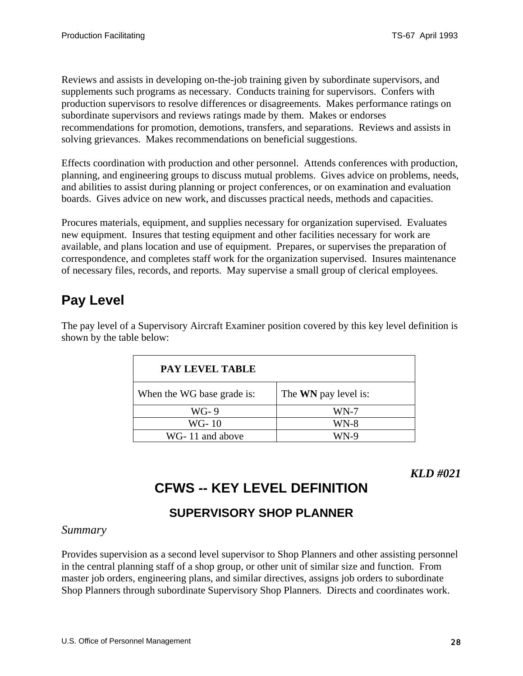<span id="page-27-0"></span>Reviews and assists in developing on-the-job training given by subordinate supervisors, and supplements such programs as necessary. Conducts training for supervisors. Confers with production supervisors to resolve differences or disagreements. Makes performance ratings on subordinate supervisors and reviews ratings made by them. Makes or endorses recommendations for promotion, demotions, transfers, and separations. Reviews and assists in solving grievances. Makes recommendations on beneficial suggestions.

Effects coordination with production and other personnel. Attends conferences with production, planning, and engineering groups to discuss mutual problems. Gives advice on problems, needs, and abilities to assist during planning or project conferences, or on examination and evaluation boards. Gives advice on new work, and discusses practical needs, methods and capacities.

Procures materials, equipment, and supplies necessary for organization supervised. Evaluates new equipment. Insures that testing equipment and other facilities necessary for work are available, and plans location and use of equipment. Prepares, or supervises the preparation of correspondence, and completes staff work for the organization supervised. Insures maintenance of necessary files, records, and reports. May supervise a small group of clerical employees.

# **Pay Level**

The pay level of a Supervisory Aircraft Examiner position covered by this key level definition is shown by the table below:

| <b>PAY LEVEL TABLE</b>     |                             |
|----------------------------|-----------------------------|
| When the WG base grade is: | The <b>WN</b> pay level is: |
| WG-9                       | $WN-7$                      |
| WG-10                      | WN-8                        |
| WG-11 and above            | $WN-9$                      |

*KLD #021*

# **CFWS -- KEY LEVEL DEFINITION**

### **SUPERVISORY SHOP PLANNER**

#### *Summary*

Provides supervision as a second level supervisor to Shop Planners and other assisting personnel in the central planning staff of a shop group, or other unit of similar size and function. From master job orders, engineering plans, and similar directives, assigns job orders to subordinate Shop Planners through subordinate Supervisory Shop Planners. Directs and coordinates work.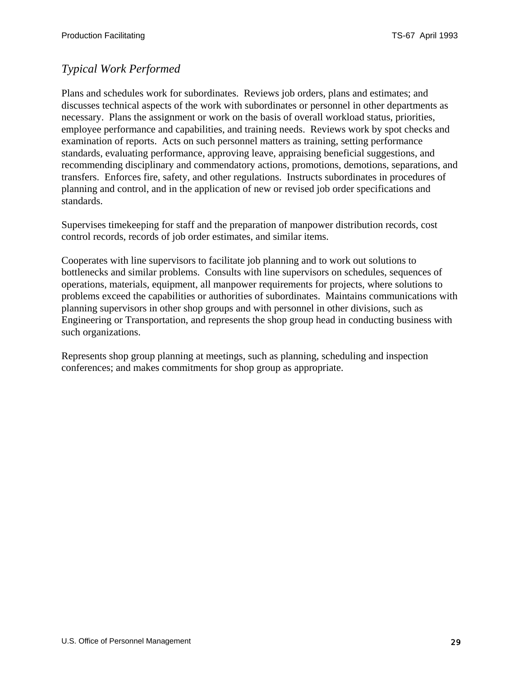### *Typical Work Performed*

Plans and schedules work for subordinates. Reviews job orders, plans and estimates; and discusses technical aspects of the work with subordinates or personnel in other departments as necessary. Plans the assignment or work on the basis of overall workload status, priorities, employee performance and capabilities, and training needs. Reviews work by spot checks and examination of reports. Acts on such personnel matters as training, setting performance standards, evaluating performance, approving leave, appraising beneficial suggestions, and recommending disciplinary and commendatory actions, promotions, demotions, separations, and transfers. Enforces fire, safety, and other regulations. Instructs subordinates in procedures of planning and control, and in the application of new or revised job order specifications and standards.

Supervises timekeeping for staff and the preparation of manpower distribution records, cost control records, records of job order estimates, and similar items.

Cooperates with line supervisors to facilitate job planning and to work out solutions to bottlenecks and similar problems. Consults with line supervisors on schedules, sequences of operations, materials, equipment, all manpower requirements for projects, where solutions to problems exceed the capabilities or authorities of subordinates. Maintains communications with planning supervisors in other shop groups and with personnel in other divisions, such as Engineering or Transportation, and represents the shop group head in conducting business with such organizations.

Represents shop group planning at meetings, such as planning, scheduling and inspection conferences; and makes commitments for shop group as appropriate.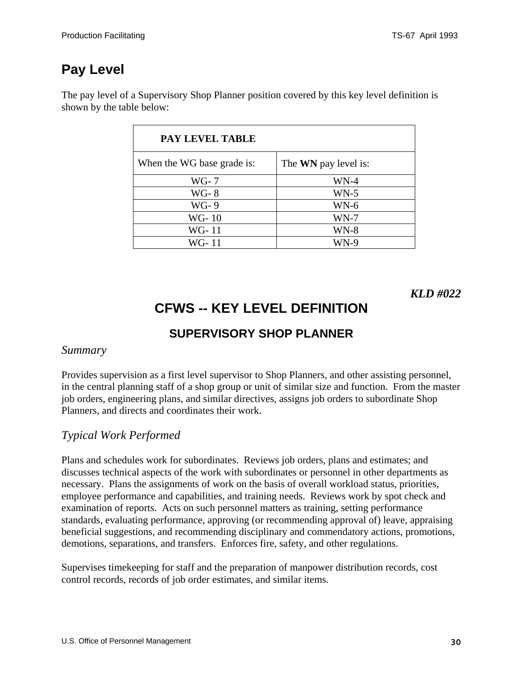<span id="page-29-0"></span>The pay level of a Supervisory Shop Planner position covered by this key level definition is shown by the table below:

| PAY LEVEL TABLE            |                             |
|----------------------------|-----------------------------|
| When the WG base grade is: | The <b>WN</b> pay level is: |
| WG- 7                      | WN-4                        |
| WG-8                       | $WN-5$                      |
| WG-9                       | $WN-6$                      |
| WG-10                      | $WN-7$                      |
| WG-11                      | <b>WN-8</b>                 |
| WG-11                      | WN-9                        |

*KLD #022*

# **CFWS -- KEY LEVEL DEFINITION**

### **SUPERVISORY SHOP PLANNER**

#### *Summary*

Provides supervision as a first level supervisor to Shop Planners, and other assisting personnel, in the central planning staff of a shop group or unit of similar size and function. From the master job orders, engineering plans, and similar directives, assigns job orders to subordinate Shop Planners, and directs and coordinates their work.

### *Typical Work Performed*

Plans and schedules work for subordinates. Reviews job orders, plans and estimates; and discusses technical aspects of the work with subordinates or personnel in other departments as necessary. Plans the assignments of work on the basis of overall workload status, priorities, employee performance and capabilities, and training needs. Reviews work by spot check and examination of reports. Acts on such personnel matters as training, setting performance standards, evaluating performance, approving (or recommending approval of) leave, appraising beneficial suggestions, and recommending disciplinary and commendatory actions, promotions, demotions, separations, and transfers. Enforces fire, safety, and other regulations.

Supervises timekeeping for staff and the preparation of manpower distribution records, cost control records, records of job order estimates, and similar items.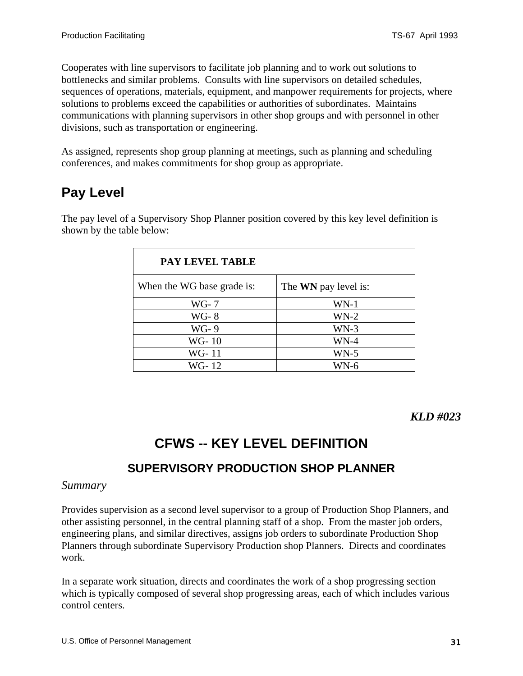<span id="page-30-0"></span>Cooperates with line supervisors to facilitate job planning and to work out solutions to bottlenecks and similar problems. Consults with line supervisors on detailed schedules, sequences of operations, materials, equipment, and manpower requirements for projects, where solutions to problems exceed the capabilities or authorities of subordinates. Maintains communications with planning supervisors in other shop groups and with personnel in other divisions, such as transportation or engineering.

As assigned, represents shop group planning at meetings, such as planning and scheduling conferences, and makes commitments for shop group as appropriate.

# **Pay Level**

The pay level of a Supervisory Shop Planner position covered by this key level definition is shown by the table below:

| <b>PAY LEVEL TABLE</b>     |                             |
|----------------------------|-----------------------------|
| When the WG base grade is: | The <b>WN</b> pay level is: |
| WG- 7                      | $WN-1$                      |
| <b>WG-8</b>                | $WN-2$                      |
| WG-9                       | $WN-3$                      |
| WG-10                      | WN-4                        |
| WG-11                      | $WN-5$                      |
| WG-12                      | WN-6                        |

*KLD #023*

# **CFWS -- KEY LEVEL DEFINITION**

### **SUPERVISORY PRODUCTION SHOP PLANNER**

#### *Summary*

Provides supervision as a second level supervisor to a group of Production Shop Planners, and other assisting personnel, in the central planning staff of a shop. From the master job orders, engineering plans, and similar directives, assigns job orders to subordinate Production Shop Planners through subordinate Supervisory Production shop Planners. Directs and coordinates work.

In a separate work situation, directs and coordinates the work of a shop progressing section which is typically composed of several shop progressing areas, each of which includes various control centers.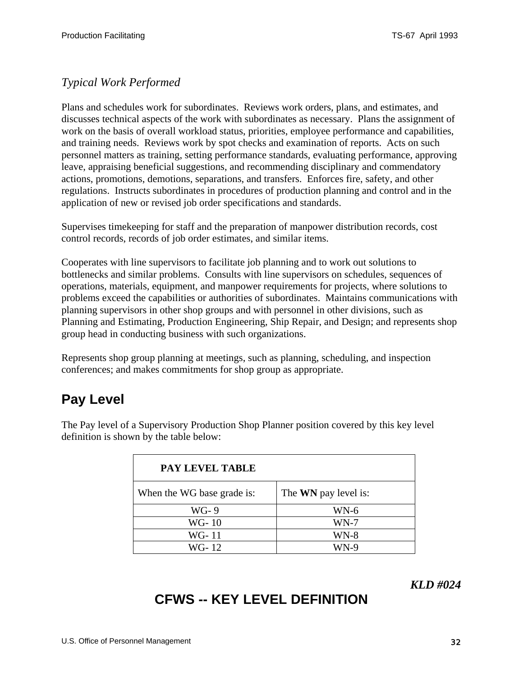### <span id="page-31-0"></span>*Typical Work Performed*

Plans and schedules work for subordinates. Reviews work orders, plans, and estimates, and discusses technical aspects of the work with subordinates as necessary. Plans the assignment of work on the basis of overall workload status, priorities, employee performance and capabilities, and training needs. Reviews work by spot checks and examination of reports. Acts on such personnel matters as training, setting performance standards, evaluating performance, approving leave, appraising beneficial suggestions, and recommending disciplinary and commendatory actions, promotions, demotions, separations, and transfers. Enforces fire, safety, and other regulations. Instructs subordinates in procedures of production planning and control and in the application of new or revised job order specifications and standards.

Supervises timekeeping for staff and the preparation of manpower distribution records, cost control records, records of job order estimates, and similar items.

Cooperates with line supervisors to facilitate job planning and to work out solutions to bottlenecks and similar problems. Consults with line supervisors on schedules, sequences of operations, materials, equipment, and manpower requirements for projects, where solutions to problems exceed the capabilities or authorities of subordinates. Maintains communications with planning supervisors in other shop groups and with personnel in other divisions, such as Planning and Estimating, Production Engineering, Ship Repair, and Design; and represents shop group head in conducting business with such organizations.

Represents shop group planning at meetings, such as planning, scheduling, and inspection conferences; and makes commitments for shop group as appropriate.

# **Pay Level**

The Pay level of a Supervisory Production Shop Planner position covered by this key level definition is shown by the table below:

| <b>PAY LEVEL TABLE</b>     |                             |
|----------------------------|-----------------------------|
| When the WG base grade is: | The <b>WN</b> pay level is: |
| $WG-9$                     | $WN-6$                      |
| WG-10                      | $WN-7$                      |
| WG-11                      | $WN-8$                      |
| WG-12                      | WN-9                        |

*KLD #024*

# **CFWS -- KEY LEVEL DEFINITION**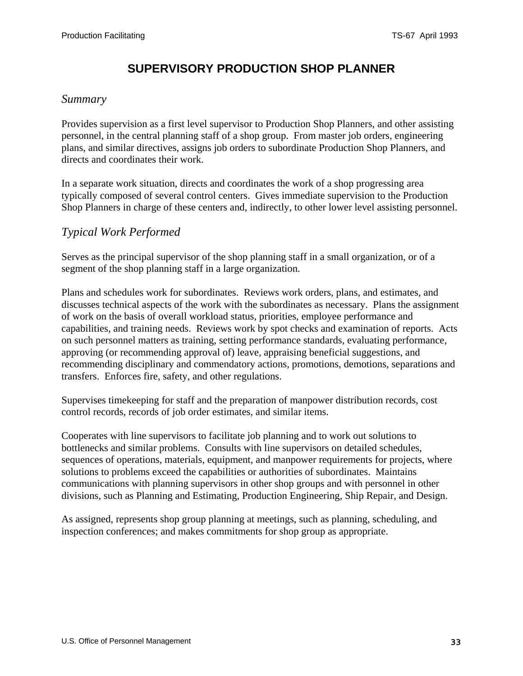### **SUPERVISORY PRODUCTION SHOP PLANNER**

#### <span id="page-32-0"></span>*Summary*

Provides supervision as a first level supervisor to Production Shop Planners, and other assisting personnel, in the central planning staff of a shop group. From master job orders, engineering plans, and similar directives, assigns job orders to subordinate Production Shop Planners, and directs and coordinates their work.

In a separate work situation, directs and coordinates the work of a shop progressing area typically composed of several control centers. Gives immediate supervision to the Production Shop Planners in charge of these centers and, indirectly, to other lower level assisting personnel.

#### *Typical Work Performed*

Serves as the principal supervisor of the shop planning staff in a small organization, or of a segment of the shop planning staff in a large organization.

Plans and schedules work for subordinates. Reviews work orders, plans, and estimates, and discusses technical aspects of the work with the subordinates as necessary. Plans the assignment of work on the basis of overall workload status, priorities, employee performance and capabilities, and training needs. Reviews work by spot checks and examination of reports. Acts on such personnel matters as training, setting performance standards, evaluating performance, approving (or recommending approval of) leave, appraising beneficial suggestions, and recommending disciplinary and commendatory actions, promotions, demotions, separations and transfers. Enforces fire, safety, and other regulations.

Supervises timekeeping for staff and the preparation of manpower distribution records, cost control records, records of job order estimates, and similar items.

Cooperates with line supervisors to facilitate job planning and to work out solutions to bottlenecks and similar problems. Consults with line supervisors on detailed schedules, sequences of operations, materials, equipment, and manpower requirements for projects, where solutions to problems exceed the capabilities or authorities of subordinates. Maintains communications with planning supervisors in other shop groups and with personnel in other divisions, such as Planning and Estimating, Production Engineering, Ship Repair, and Design.

As assigned, represents shop group planning at meetings, such as planning, scheduling, and inspection conferences; and makes commitments for shop group as appropriate.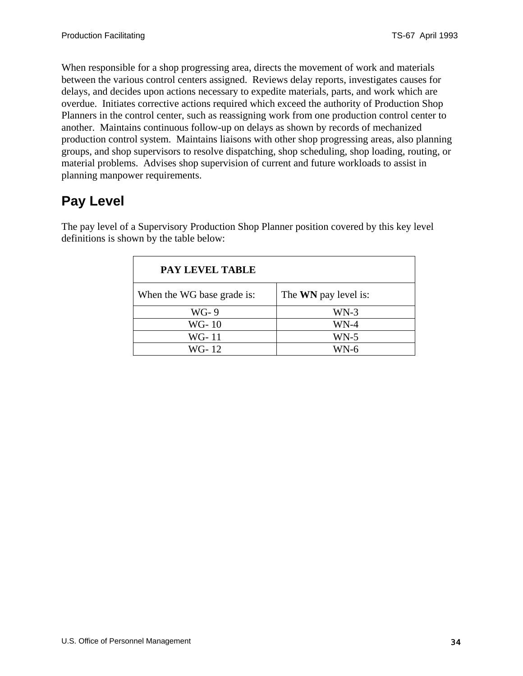When responsible for a shop progressing area, directs the movement of work and materials between the various control centers assigned. Reviews delay reports, investigates causes for delays, and decides upon actions necessary to expedite materials, parts, and work which are overdue. Initiates corrective actions required which exceed the authority of Production Shop Planners in the control center, such as reassigning work from one production control center to another. Maintains continuous follow-up on delays as shown by records of mechanized production control system. Maintains liaisons with other shop progressing areas, also planning groups, and shop supervisors to resolve dispatching, shop scheduling, shop loading, routing, or material problems. Advises shop supervision of current and future workloads to assist in planning manpower requirements.

# **Pay Level**

| PAY LEVEL TABLE            |                             |
|----------------------------|-----------------------------|
| When the WG base grade is: | The <b>WN</b> pay level is: |
| WG-9                       | $WN-3$                      |
| WG-10                      | WN-4                        |
| WG-11                      | $WN-5$                      |
| WG-12                      | WN-6                        |

The pay level of a Supervisory Production Shop Planner position covered by this key level definitions is shown by the table below: